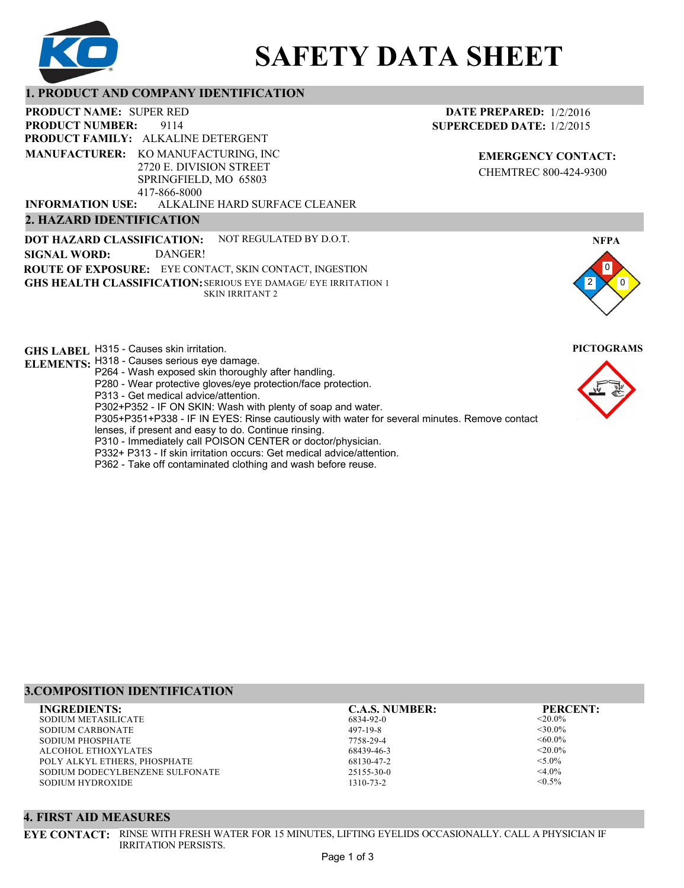

# **SAFETY DATA SHEET**

# **1. PRODUCT AND COMPANY IDENTIFICATION**

9114 **PRODUCT NAME: SUPER RED PRODUCT FAMILY: ALKALINE DETERGENT** ALKALINE HARD SURFACE CLEANER **PRODUCT NUMBER: 2. HAZARD IDENTIFICATION MANUFACTURER:** KO MANUFACTURING, INC 2720 E. DIVISION STREET SPRINGFIELD, MO 65803 417-866-8000 **INFORMATION USE:**

**DOT HAZARD CLASSIFICATION: GHS HEALTH CLASSIFICATION:** SERIOUS EYE DAMAGE/ EYE IRRITATION 1 **ROUTE OF EXPOSURE:** EYE CONTACT, SKIN CONTACT, INGESTION NOT REGULATED BY D.O.T. SKIN IRRITANT 2 **SIGNAL WORD:** DANGER!

**GHS LABEL**  H315 - Causes skin irritation. **PICTOGRAMS**

- **ELEMENTS:** H318 Causes serious eye damage.
	- P264 Wash exposed skin thoroughly after handling.
		- P280 Wear protective gloves/eye protection/face protection.
		- P313 Get medical advice/attention.
	- P302+P352 IF ON SKIN: Wash with plenty of soap and water.

P305+P351+P338 - IF IN EYES: Rinse cautiously with water for several minutes. Remove contact

- lenses, if present and easy to do. Continue rinsing.
- P310 Immediately call POISON CENTER or doctor/physician.
- P332+ P313 If skin irritation occurs: Get medical advice/attention.
- P362 Take off contaminated clothing and wash before reuse.

# **DATE PREPARED:** 1/2/2016 **SUPERCEDED DATE:** 1/2/2015

**EMERGENCY CONTACT:** CHEMTREC 800-424-9300





# **3.COMPOSITION IDENTIFICATION**

SODIUM METASILICATE SODIUM CARBONATE SODIUM PHOSPHATE ALCOHOL ETHOXYLATES POLY ALKYL ETHERS, PHOSPHATE SODIUM DODECYLBENZENE SULFONATE SODIUM HYDROXIDE **INGREDIENTS: C.A.S. NUMBER: PERCENT:**

6834-92-0 497-19-8 7758-29-4 68439-46-3 68130-47-2 25155-30-0

1310-73-2

 $<$ 20.0%  $<30.0\%$  $<0.0\%$  $< 20.0\%$  $< 5.0\%$  $<$ 4.0%  $< 0.5\%$ 

# **4. FIRST AID MEASURES**

**EYE CONTACT:** RINSE WITH FRESH WATER FOR 15 MINUTES, LIFTING EYELIDS OCCASIONALLY. CALL A PHYSICIAN IF IRRITATION PERSISTS.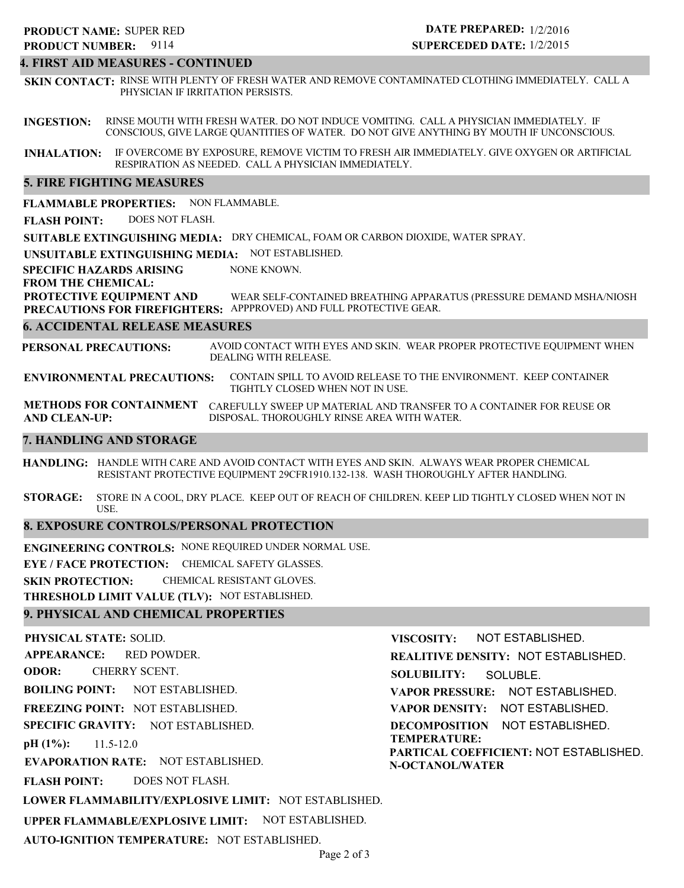# **4. FIRST AID MEASURES - CONTINUED**

**SKIN CONTACT:** RINSE WITH PLENTY OF FRESH WATER AND REMOVE CONTAMINATED CLOTHING IMMEDIATELY. CALL A PHYSICIAN IF IRRITATION PERSISTS.

**INGESTION:** RINSE MOUTH WITH FRESH WATER. DO NOT INDUCE VOMITING. CALL A PHYSICIAN IMMEDIATELY. IF CONSCIOUS, GIVE LARGE QUANTITIES OF WATER. DO NOT GIVE ANYTHING BY MOUTH IF UNCONSCIOUS.

**INHALATION:** IF OVERCOME BY EXPOSURE, REMOVE VICTIM TO FRESH AIR IMMEDIATELY. GIVE OXYGEN OR ARTIFICIAL RESPIRATION AS NEEDED. CALL A PHYSICIAN IMMEDIATELY.

## **5. FIRE FIGHTING MEASURES**

**FLAMMABLE PROPERTIES:** NON FLAMMABLE.

**FLASH POINT:** DOES NOT FLASH.

**SUITABLE EXTINGUISHING MEDIA:** DRY CHEMICAL, FOAM OR CARBON DIOXIDE, WATER SPRAY.

**UNSUITABLE EXTINGUISHING MEDIA:** NOT ESTABLISHED.

**SPECIFIC HAZARDS ARISING** NONE KNOWN.

**FROM THE CHEMICAL:**

**PROTECTIVE EQUIPMENT AND PRECAUTIONS FOR FIREFIGHTERS:** APPPROVED) AND FULL PROTECTIVE GEAR. WEAR SELF-CONTAINED BREATHING APPARATUS (PRESSURE DEMAND MSHA/NIOSH

#### **6. ACCIDENTAL RELEASE MEASURES**

**PERSONAL PRECAUTIONS:** AVOID CONTACT WITH EYES AND SKIN. WEAR PROPER PROTECTIVE EQUIPMENT WHEN DEALING WITH RELEASE.

**ENVIRONMENTAL PRECAUTIONS:** CONTAIN SPILL TO AVOID RELEASE TO THE ENVIRONMENT. KEEP CONTAINER TIGHTLY CLOSED WHEN NOT IN USE.

**METHODS FOR CONTAINMENT** CAREFULLY SWEEP UP MATERIAL AND TRANSFER TO A CONTAINER FOR REUSE OR **AND CLEAN-UP:** DISPOSAL. THOROUGHLY RINSE AREA WITH WATER.

## **7. HANDLING AND STORAGE**

**HANDLING:** HANDLE WITH CARE AND AVOID CONTACT WITH EYES AND SKIN. ALWAYS WEAR PROPER CHEMICAL RESISTANT PROTECTIVE EQUIPMENT 29CFR1910.132-138. WASH THOROUGHLY AFTER HANDLING.

**STORAGE:** STORE IN A COOL, DRY PLACE. KEEP OUT OF REACH OF CHILDREN. KEEP LID TIGHTLY CLOSED WHEN NOT IN USE.

# **8. EXPOSURE CONTROLS/PERSONAL PROTECTION**

**ENGINEERING CONTROLS:** NONE REQUIRED UNDER NORMAL USE.

**EYE / FACE PROTECTION:** CHEMICAL SAFETY GLASSES.

**SKIN PROTECTION:** CHEMICAL RESISTANT GLOVES.

**THRESHOLD LIMIT VALUE (TLV):** NOT ESTABLISHED.

**AUTO-IGNITION TEMPERATURE:** NOT ESTABLISHED.

# **9. PHYSICAL AND CHEMICAL PROPERTIES**

**PHYSICAL STATE:** SOLID. **APPEARANCE: ODOR: BOILING POINT: FREEZING POINT:** NOT ESTABLISHED. **SPECIFIC GRAVITY:** NOT ESTABLISHED. **pH (1%): EVAPORATION RATE:** NOT ESTABLISHED. **FLASH POINT: LOWER FLAMMABILITY/EXPLOSIVE LIMIT:** NOT ESTABLISHED. **UPPER FLAMMABLE/EXPLOSIVE LIMIT:** NOT ESTABLISHED. NOT ESTABLISHED. 11.5-12.0 DOES NOT FLASH. RED POWDER. CHERRY SCENT. **VISCOSITY: REALITIVE DENSITY:** NOT ESTABLISHED. **SOLUBILITY: VAPOR PRESSURE:** NOT ESTABLISHED. **VAPOR DENSITY:** NOT ESTABLISHED. **DECOMPOSITION** NOT ESTABLISHED. **TEMPERATURE: PARTICAL COEFFICIENT:** NOT ESTABLISHED. **N-OCTANOL/WATER** NOT ESTABLISHED. SOLUBLE.